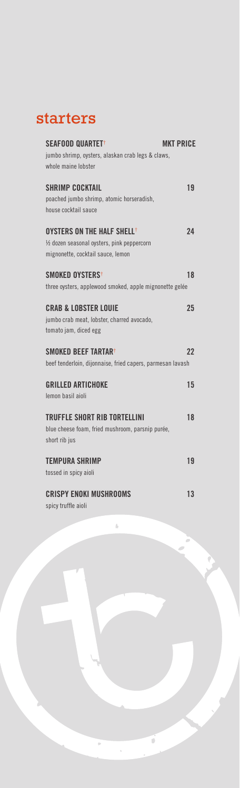### starters

| SEAFOOD QUARTET <sup>+</sup>                               | <b>MKT PRICE</b> |
|------------------------------------------------------------|------------------|
| jumbo shrimp, oysters, alaskan crab legs & claws,          |                  |
| whole maine lobster                                        |                  |
| <b><i>SHRIMP COCKTAIL</i></b>                              | 19               |
| poached jumbo shrimp, atomic horseradish,                  |                  |
| house cocktail sauce                                       |                  |
| OYSTERS ON THE HALF SHELL <sup>†</sup>                     | 24               |
| 1/2 dozen seasonal oysters, pink peppercorn                |                  |
| mignonette, cocktail sauce, lemon                          |                  |
| <b>SMOKED OYSTERS</b> <sup>+</sup>                         | 18               |
| three oysters, applewood smoked, apple mignonette gelée    |                  |
| <b>CRAB &amp; LOBSTER LOUIE</b>                            | 25               |
| jumbo crab meat, lobster, charred avocado,                 |                  |
| tomato jam, diced egg                                      |                  |
| <b>SMOKED BEEF TARTAR<sup>+</sup></b>                      | 22               |
| beef tenderloin, dijonnaise, fried capers, parmesan lavash |                  |
| <b>GRILLED ARTICHOKE</b>                                   | 15               |
| lemon basil aioli                                          |                  |
| <b>TRUFFLE SHORT RIB TORTELLINI</b>                        | 18               |
| blue cheese foam, fried mushroom, parsnip purée,           |                  |
| short rib jus                                              |                  |
| <b>TEMPURA SHRIMP</b>                                      | 19               |
| tossed in spicy aioli                                      |                  |
| <b>CRISPY ENOKI MUSHROOMS</b>                              | 13               |
| spicy truffle aioli                                        |                  |

í.

 $\vec{0}$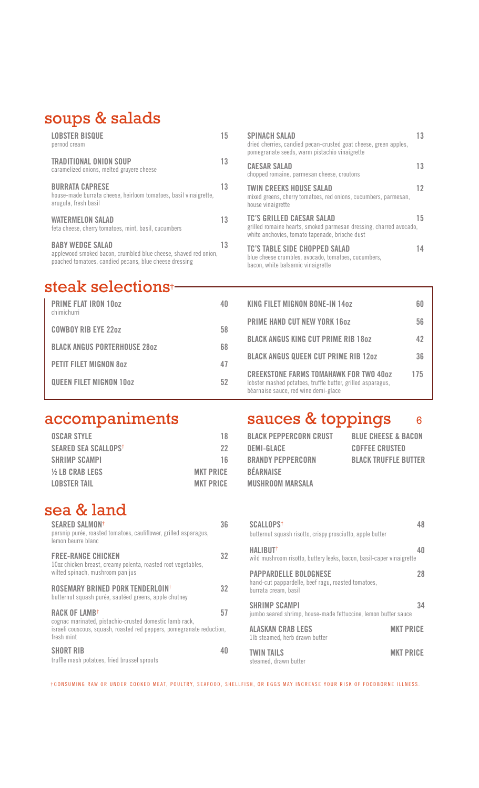### soups & salads

| <b>LOBSTER BISQUE</b><br>pernod cream                                                                                                                | 15 |
|------------------------------------------------------------------------------------------------------------------------------------------------------|----|
| TRADITIONAL ONION SOUP<br>caramelized onions, melted gruyere cheese                                                                                  | 13 |
| <b>BURRATA CAPRESE</b><br>house-made burrata cheese, heirloom tomatoes, basil vinaigrette,<br>arugula, fresh basil                                   | 13 |
| <b>WATERMELON SALAD</b><br>feta cheese, cherry tomatoes, mint, basil, cucumbers                                                                      | 13 |
| <b>BABY WEDGE SALAD</b><br>applewood smoked bacon, crumbled blue cheese, shaved red onion,<br>poached tomatoes, candied pecans, blue cheese dressing | 13 |

### steak selections†

| <b>PRIME FLAT IRON 10oz</b><br>chimichurri |    |
|--------------------------------------------|----|
| <b>COWBOY RIB EYE 22oz</b>                 | 58 |
| <b>BLACK ANGUS PORTERHOUSE 280Z</b>        | 68 |
| <b>PETIT FILET MIGNON 807</b>              | 47 |
| <b>QUEEN FILET MIGNON 10oz</b>             | 52 |
|                                            |    |

| <b>OSCAR STYLE</b>          | 18               |
|-----------------------------|------------------|
| <b>SEARED SEA SCALLOPST</b> | 22               |
| <b>SHRIMP SCAMPI</b>        | 16               |
| <b>1/2 LB CRAB LEGS</b>     | <b>MKT PRICE</b> |
| <b>LOBSTER TAIL</b>         | <b>MKT PRICE</b> |
|                             |                  |

### sea & land

| <b>SEARED SALMON<sup>+</sup></b><br>parsnip purée, roasted tomatoes, cauliflower, grilled asparagus,<br>lemon beurre blanc                                                  | 36 |
|-----------------------------------------------------------------------------------------------------------------------------------------------------------------------------|----|
| <b>FREE-RANGE CHICKEN</b><br>10oz chicken breast, creamy polenta, roasted root vegetables,<br>wilted spinach, mushroom pan jus                                              | 32 |
| ROSEMARY BRINED PORK TENDERLOIN <sup>†</sup><br>butternut squash purée, sautéed greens, apple chutney                                                                       | 32 |
| RACK OF LAMB <sup>+</sup><br>cognac marinated, pistachio-crusted domestic lamb rack,<br>israeli couscous, squash, roasted red peppers, pomegranate reduction,<br>fresh mint | 57 |
| <b>SHORT RIB</b><br>truffle mash potatoes, fried brussel sprouts                                                                                                            |    |

| <b>SPINACH SALAD</b><br>dried cherries, candied pecan-crusted goat cheese, green apples,<br>pomegranate seeds, warm pistachio vinaigrette                | 13 |
|----------------------------------------------------------------------------------------------------------------------------------------------------------|----|
| <b>CAESAR SALAD</b><br>chopped romaine, parmesan cheese, croutons                                                                                        | 13 |
| <b>TWIN CREEKS HOUSE SALAD</b><br>mixed greens, cherry tomatoes, red onions, cucumbers, parmesan,<br>house vinaigrette                                   | 12 |
| <b>TC'S GRILLED CAESAR SALAD</b><br>grilled romaine hearts, smoked parmesan dressing, charred avocado,<br>white anchovies, tomato tapenade, brioche dust | 15 |
| <b>TC'S TABLE SIDE CHOPPED SALAD</b><br>blue cheese crumbles, avocado, tomatoes, cucumbers,<br>bacon, white balsamic vinaigrette                         | 14 |

| KING FILET MIGNON BONE-IN 14oz                                                                                                                       | БП  |
|------------------------------------------------------------------------------------------------------------------------------------------------------|-----|
| <b>PRIME HAND CUT NEW YORK 160Z</b>                                                                                                                  | 56  |
| <b>BLACK ANGUS KING CUT PRIME RIB 180Z</b>                                                                                                           | 42  |
| <b>BLACK ANGUS QUEEN CUT PRIME RIB 120Z</b>                                                                                                          | 36  |
| <b>CREEKSTONE FARMS TOMAHAWK FOR TWO 40oz</b><br>lobster mashed potatoes, truffle butter, grilled asparagus,<br>béarnaise sauce, red wine demi-glace | 175 |

# accompaniments sauces & toppings 6

| BLACK PEPPERCORN CRUST   | <b>BLUE CHEESE &amp; BACON</b> |
|--------------------------|--------------------------------|
| DEMI-GLACE               | <b>COFFEE CRUSTED</b>          |
| <b>BRANDY PEPPERCORN</b> | <b>BLACK TRUFFLE BUTTER</b>    |
| BÉARNAISE                |                                |
| <b>MUSHROOM MARSALA</b>  |                                |

| <b>SCALLOPS<sup>+</sup></b><br>butternut squash risotto, crispy prosciutto, apple butter                   | 48               |  |
|------------------------------------------------------------------------------------------------------------|------------------|--|
| <b>HALIBUT<sup>+</sup></b><br>wild mushroom risotto, buttery leeks, bacon, basil-caper vinaigrette         | 40               |  |
| <b>PAPPARDELLE BOLOGNESE</b><br>hand-cut pappardelle, beef ragu, roasted tomatoes,<br>burrata cream, basil | 28               |  |
| <b>SHRIMP SCAMPI</b><br>jumbo seared shrimp, house-made fettuccine, lemon butter sauce                     | 34               |  |
| <b>ALASKAN CRAB LEGS</b><br>11b steamed, herb drawn butter                                                 | <b>MKT PRICE</b> |  |
| <b>TWIN TAILS</b><br>steamed, drawn butter                                                                 | <b>MKT PRICE</b> |  |

†CONSUMING RAW OR UNDER COOKED MEAT, POULTRY, SEAFOOD, SHELLFISH, OR EGGS MAY INCREASE YOUR RISK OF FOODBORNE ILLNESS.